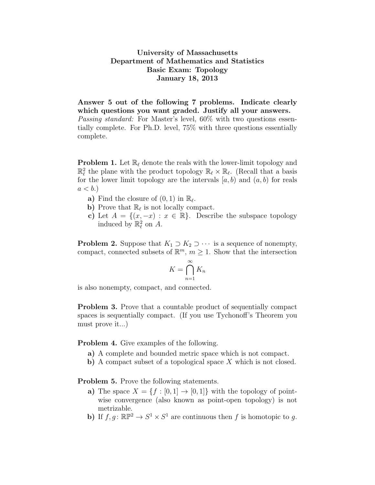University of Massachusetts Department of Mathematics and Statistics Basic Exam: Topology January 18, 2013

Answer 5 out of the following 7 problems. Indicate clearly which questions you want graded. Justify all your answers.

Passing standard: For Master's level, 60% with two questions essentially complete. For Ph.D. level, 75% with three questions essentially complete.

**Problem 1.** Let  $\mathbb{R}_{\ell}$  denote the reals with the lower-limit topology and  $\mathbb{R}^2_\ell$  the plane with the product topology  $\mathbb{R}_\ell \times \mathbb{R}_\ell$ . (Recall that a basis for the lower limit topology are the intervals  $[a, b)$  and  $(a, b)$  for reals  $a < b.$ 

- a) Find the closure of  $(0, 1)$  in  $\mathbb{R}_{\ell}$ .
- b) Prove that  $\mathbb{R}_{\ell}$  is not locally compact.
- c) Let  $A = \{(x, -x) : x \in \mathbb{R}\}.$  Describe the subspace topology induced by  $\mathbb{R}_{\ell}^2$  on A.

**Problem 2.** Suppose that  $K_1 \supset K_2 \supset \cdots$  is a sequence of nonempty, compact, connected subsets of  $\mathbb{R}^m$ ,  $m \geq 1$ . Show that the intersection

$$
K = \bigcap_{n=1}^{\infty} K_n
$$

is also nonempty, compact, and connected.

Problem 3. Prove that a countable product of sequentially compact spaces is sequentially compact. (If you use Tychonoff's Theorem you must prove it...)

Problem 4. Give examples of the following.

- a) A complete and bounded metric space which is not compact.
- b) A compact subset of a topological space X which is not closed.

Problem 5. Prove the following statements.

- a) The space  $X = \{f : [0, 1] \rightarrow [0, 1]\}$  with the topology of pointwise convergence (also known as point-open topology) is not metrizable.
- b) If  $f, g: \mathbb{RP}^2 \to S^1 \times S^1$  are continuous then f is homotopic to g.